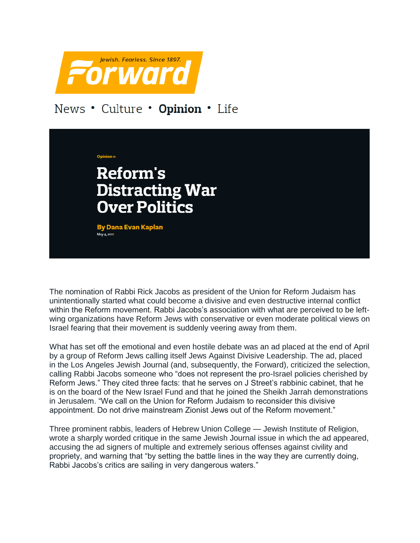

## News • Culture • Opinion • Life

**Reform's Distracting War Over Politics By Dana Evan Kaplan** May 4, 2011

The nomination of Rabbi Rick Jacobs as president of the Union for Reform Judaism has unintentionally started what could become a divisive and even destructive internal conflict within the Reform movement. Rabbi Jacobs's association with what are perceived to be leftwing organizations have Reform Jews with conservative or even moderate political views on Israel fearing that their movement is suddenly veering away from them.

What has set off the emotional and even hostile debate was an ad placed at the end of April by a group of Reform Jews calling itself Jews Against Divisive Leadership. The ad, placed in the Los Angeles Jewish Journal (and, subsequently, the Forward), criticized the selection, calling Rabbi Jacobs someone who "does not represent the pro-Israel policies cherished by Reform Jews." They cited three facts: that he serves on J Street's rabbinic cabinet, that he is on the board of the New Israel Fund and that he joined the Sheikh Jarrah demonstrations in Jerusalem. "We call on the Union for Reform Judaism to reconsider this divisive appointment. Do not drive mainstream Zionist Jews out of the Reform movement."

Three prominent rabbis, leaders of Hebrew Union College — Jewish Institute of Religion, wrote a sharply worded critique in the same Jewish Journal issue in which the ad appeared, accusing the ad signers of multiple and extremely serious offenses against civility and propriety, and warning that "by setting the battle lines in the way they are currently doing, Rabbi Jacobs's critics are sailing in very dangerous waters."